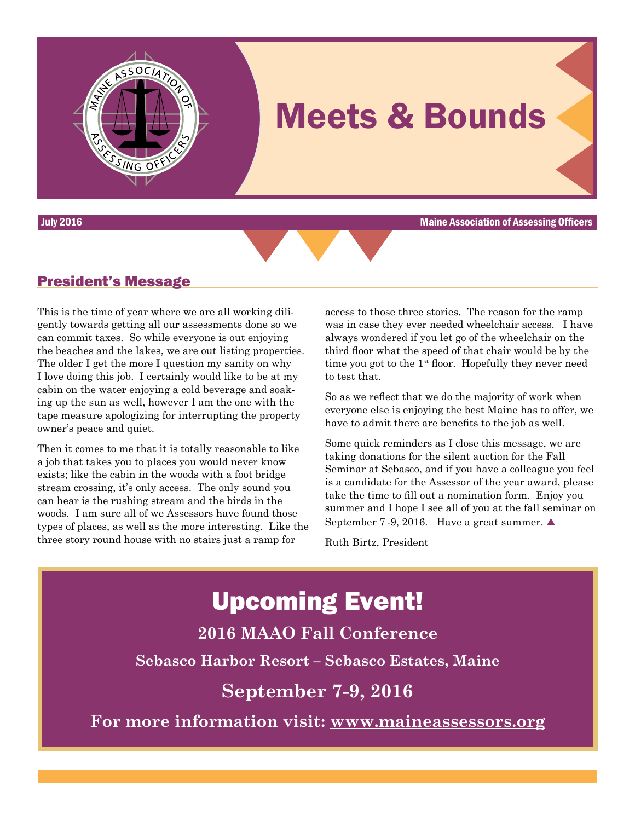

July 2016 Maine Association of Assessing Officers



### President's Message

This is the time of year where we are all working diligently towards getting all our assessments done so we can commit taxes. So while everyone is out enjoying the beaches and the lakes, we are out listing properties. The older I get the more I question my sanity on why I love doing this job. I certainly would like to be at my cabin on the water enjoying a cold beverage and soaking up the sun as well, however I am the one with the tape measure apologizing for interrupting the property owner's peace and quiet.

Then it comes to me that it is totally reasonable to like a job that takes you to places you would never know exists; like the cabin in the woods with a foot bridge stream crossing, it's only access. The only sound you can hear is the rushing stream and the birds in the woods. I am sure all of we Assessors have found those types of places, as well as the more interesting. Like the three story round house with no stairs just a ramp for

access to those three stories. The reason for the ramp was in case they ever needed wheelchair access. I have always wondered if you let go of the wheelchair on the third floor what the speed of that chair would be by the time you got to the  $1<sup>st</sup>$  floor. Hopefully they never need to test that.

So as we reflect that we do the majority of work when everyone else is enjoying the best Maine has to offer, we have to admit there are benefits to the job as well.

Some quick reminders as I close this message, we are taking donations for the silent auction for the Fall Seminar at Sebasco, and if you have a colleague you feel is a candidate for the Assessor of the year award, please take the time to fill out a nomination form. Enjoy you summer and I hope I see all of you at the fall seminar on September 7 -9, 2016. Have a great summer.  $\triangle$ 

Ruth Birtz, President

# Upcoming Event! **2016 MAAO Fall Conference Sebasco Harbor Resort – Sebasco Estates, Maine September 7-9, 2016 For more information visit:<www.maineassessors.org>**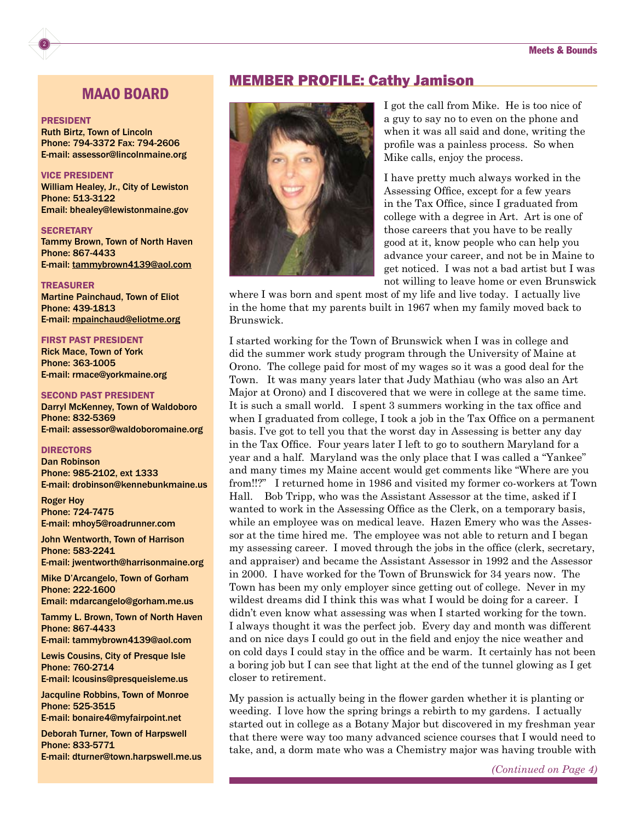### MAAO BOARD

#### PRESIDENT

2

Ruth Birtz, Town of Lincoln Phone: 794-3372 Fax: 794-2606 E-mail: [assessor@lincolnmaine.org](mailto:assessor@lincolnmaine.org)

#### VICE PRESIDENT

William Healey, Jr., City of Lewiston Phone: 513-3122 Email: [bhealey@lewistonmaine.gov](mailto:bhealey@lewistonmaine.gov)

#### **SECRETARY**

Tammy Brown, Town of North Haven Phone: 867-4433 E-mail: [tammybrown4139@aol.com](mailto:tammybrown4139@aol.com)

#### TREASURER

Martine Painchaud, Town of Eliot Phone: 439-1813 E-mail: [mpainchaud@eliotme.org](mailto:mpainchaud@eliotme.org)

#### FIRST PAST PRESIDENT

Rick Mace, Town of York Phone: 363-1005 E-mail: [rmace@yorkmaine.org](mailto:rmace@yorkmaine.org)

#### SECOND PAST PRESIDENT

Darryl McKenney, Town of Waldoboro Phone: 832-5369 E-mail: [assessor@waldoboromaine.org](mailto:assessor@waldoboromaine.org)

#### DIRECTORS

Dan Robinson Phone: 985-2102, ext 1333 E-mail: [drobinson@kennebunkmaine.us](mailto:drobinson@kennebunkmaine.us)

Roger Hoy Phone: 724-7475 E-mail: [mhoy5@roadrunner.com](mailto:mhoy5@roadrunner.com)

John Wentworth, Town of Harrison Phone: 583-2241 E-mail: [jwentworth@harrisonmaine.org](mailto:jwentworth@harrisonmaine.org)

Mike D'Arcangelo, Town of Gorham Phone: 222-1600 Email: [mdarcangelo@gorham.me.us](mailto:mdarcangelo@gorham.me.us)

Tammy L. Brown, Town of North Haven Phone: 867-4433 E-mail: [tammybrown4139@aol.com](mailto:tammybrown4139@aol.com)

Lewis Cousins, City of Presque Isle Phone: 760-2714 E-mail: [lcousins@presqueisleme.us](mailto:lcousins@presqueisleme.us)

Jacquline Robbins, Town of Monroe Phone: 525-3515 E-mail: [bonaire4@myfairpoint.net](mailto:bonaire4@myfairpoint.net)

Deborah Turner, Town of Harpswell Phone: 833-5771 E-mail: [dturner@town.harpswell.me.us](mailto:dturner@town.harpswell.me.us)

#### MEMBER PROFILE: Cathy Jamison



I got the call from Mike. He is too nice of a guy to say no to even on the phone and when it was all said and done, writing the profile was a painless process. So when Mike calls, enjoy the process.

I have pretty much always worked in the Assessing Office, except for a few years in the Tax Office, since I graduated from college with a degree in Art. Art is one of those careers that you have to be really good at it, know people who can help you advance your career, and not be in Maine to get noticed. I was not a bad artist but I was not willing to leave home or even Brunswick

where I was born and spent most of my life and live today. I actually live in the home that my parents built in 1967 when my family moved back to Brunswick.

I started working for the Town of Brunswick when I was in college and did the summer work study program through the University of Maine at Orono. The college paid for most of my wages so it was a good deal for the Town. It was many years later that Judy Mathiau (who was also an Art Major at Orono) and I discovered that we were in college at the same time. It is such a small world. I spent 3 summers working in the tax office and when I graduated from college, I took a job in the Tax Office on a permanent basis. I've got to tell you that the worst day in Assessing is better any day in the Tax Office. Four years later I left to go to southern Maryland for a year and a half. Maryland was the only place that I was called a "Yankee" and many times my Maine accent would get comments like "Where are you from!!?" I returned home in 1986 and visited my former co-workers at Town Hall. Bob Tripp, who was the Assistant Assessor at the time, asked if I wanted to work in the Assessing Office as the Clerk, on a temporary basis, while an employee was on medical leave. Hazen Emery who was the Assessor at the time hired me. The employee was not able to return and I began my assessing career. I moved through the jobs in the office (clerk, secretary, and appraiser) and became the Assistant Assessor in 1992 and the Assessor in 2000. I have worked for the Town of Brunswick for 34 years now. The Town has been my only employer since getting out of college. Never in my wildest dreams did I think this was what I would be doing for a career. I didn't even know what assessing was when I started working for the town. I always thought it was the perfect job. Every day and month was different and on nice days I could go out in the field and enjoy the nice weather and on cold days I could stay in the office and be warm. It certainly has not been a boring job but I can see that light at the end of the tunnel glowing as I get closer to retirement.

My passion is actually being in the flower garden whether it is planting or weeding. I love how the spring brings a rebirth to my gardens. I actually started out in college as a Botany Major but discovered in my freshman year that there were way too many advanced science courses that I would need to take, and, a dorm mate who was a Chemistry major was having trouble with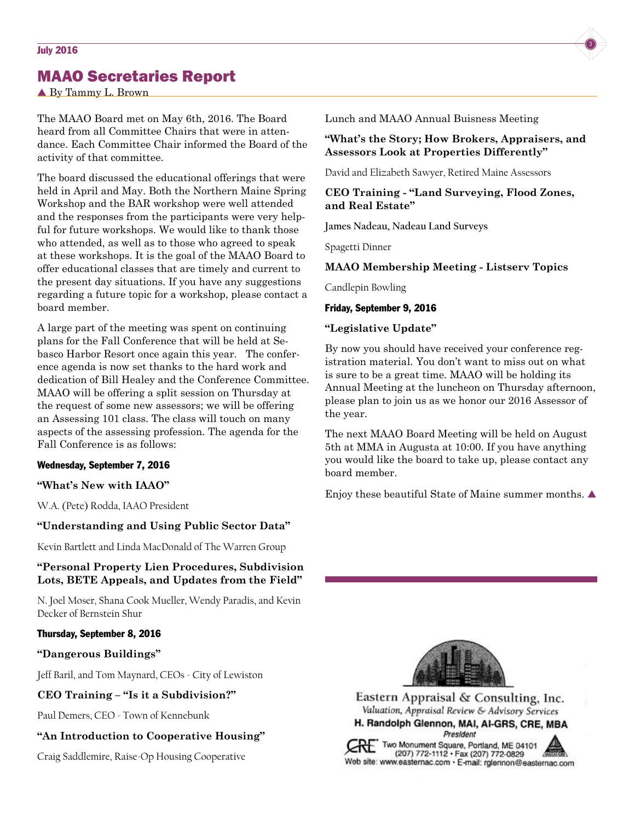## MAAO Secretaries Report

▲ By Tammy L. Brown

The MAAO Board met on May 6th, 2016. The Board heard from all Committee Chairs that were in attendance. Each Committee Chair informed the Board of the activity of that committee.

The board discussed the educational offerings that were held in April and May. Both the Northern Maine Spring Workshop and the BAR workshop were well attended and the responses from the participants were very helpful for future workshops. We would like to thank those who attended, as well as to those who agreed to speak at these workshops. It is the goal of the MAAO Board to offer educational classes that are timely and current to the present day situations. If you have any suggestions regarding a future topic for a workshop, please contact a board member.

A large part of the meeting was spent on continuing plans for the Fall Conference that will be held at Sebasco Harbor Resort once again this year. The conference agenda is now set thanks to the hard work and dedication of Bill Healey and the Conference Committee. MAAO will be offering a split session on Thursday at the request of some new assessors; we will be offering an Assessing 101 class. The class will touch on many aspects of the assessing profession. The agenda for the Fall Conference is as follows:

#### Wednesday, September 7, 2016

#### **"What's New with IAAO"**

W.A. (Pete) Rodda, IAAO President

#### **"Understanding and Using Public Sector Data"**

Kevin Bartlett and Linda MacDonald of The Warren Group

#### **"Personal Property Lien Procedures, Subdivision Lots, BETE Appeals, and Updates from the Field"**

N. Joel Moser, Shana Cook Mueller, Wendy Paradis, and Kevin Decker of Bernstein Shur

#### Thursday, September 8, 2016

#### **"Dangerous Buildings"**

Jeff Baril, and Tom Maynard, CEOs - City of Lewiston

#### **CEO Training – "Is it a Subdivision?"**

Paul Demers, CEO - Town of Kennebunk

#### **"An Introduction to Cooperative Housing"**

Craig Saddlemire, Raise-Op Housing Cooperative

Lunch and MAAO Annual Buisness Meeting

#### **"What's the Story; How Brokers, Appraisers, and Assessors Look at Properties Differently"**

David and Elizabeth Sawyer, Retired Maine Assessors

#### **CEO Training - "Land Surveying, Flood Zones, and Real Estate"**

**James Nadeau, Nadeau Land Surveys**

Spagetti Dinner

#### **MAAO Membership Meeting - Listserv Topics**

Candlepin Bowling

#### Friday, September 9, 2016

#### **"Legislative Update"**

By now you should have received your conference registration material. You don't want to miss out on what is sure to be a great time. MAAO will be holding its Annual Meeting at the luncheon on Thursday afternoon, please plan to join us as we honor our 2016 Assessor of the year.

The next MAAO Board Meeting will be held on August 5th at MMA in Augusta at 10:00. If you have anything you would like the board to take up, please contact any board member.

Enjoy these beautiful State of Maine summer months.  $\blacktriangle$ 



Eastern Appraisal & Consulting, Inc. Valuation, Appraisal Review & Advisory Services H. Randolph Glennon, MAI, AI-GRS, CRE, MBA

President

Two Monument Square, Portland, ME 04101<br>(207) 772-1112 - Fax (207) 772-0829<br>(208) - Fax (207) 772-0829 Web site: www.easternac.com · E-mail: rglennon@easternac.com

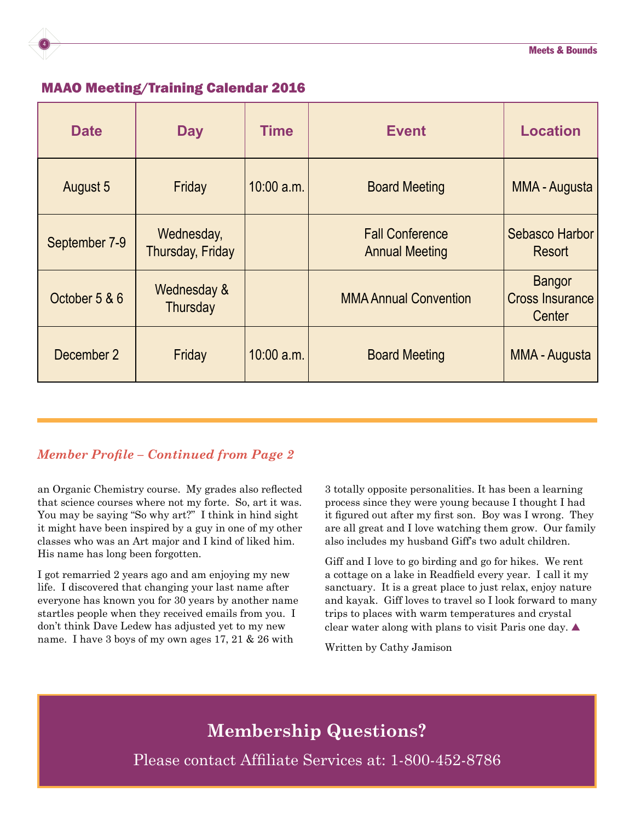

### MAAO Meeting/Training Calendar 2016

| <b>Date</b>   | <b>Day</b>                     | <b>Time</b> | <b>Event</b>                                    | <b>Location</b>                                   |
|---------------|--------------------------------|-------------|-------------------------------------------------|---------------------------------------------------|
| August 5      | Friday                         | 10:00 a.m.  | <b>Board Meeting</b>                            | MMA - Augusta                                     |
| September 7-9 | Wednesday,<br>Thursday, Friday |             | <b>Fall Conference</b><br><b>Annual Meeting</b> | Sebasco Harbor<br><b>Resort</b>                   |
| October 5 & 6 | Wednesday &<br>Thursday        |             | <b>MMA Annual Convention</b>                    | <b>Bangor</b><br><b>Cross Insurance</b><br>Center |
| December 2    | Friday                         | 10:00 a.m.  | <b>Board Meeting</b>                            | <b>MMA - Augusta</b>                              |

## *Member Profile – Continued from Page 2*

an Organic Chemistry course. My grades also reflected that science courses where not my forte. So, art it was. You may be saying "So why art?" I think in hind sight it might have been inspired by a guy in one of my other classes who was an Art major and I kind of liked him. His name has long been forgotten.

I got remarried 2 years ago and am enjoying my new life. I discovered that changing your last name after everyone has known you for 30 years by another name startles people when they received emails from you. I don't think Dave Ledew has adjusted yet to my new name. I have 3 boys of my own ages 17, 21 & 26 with

3 totally opposite personalities. It has been a learning process since they were young because I thought I had it figured out after my first son. Boy was I wrong. They are all great and I love watching them grow. Our family also includes my husband Giff's two adult children.

Giff and I love to go birding and go for hikes. We rent a cottage on a lake in Readfield every year. I call it my sanctuary. It is a great place to just relax, enjoy nature and kayak. Giff loves to travel so I look forward to many trips to places with warm temperatures and crystal clear water along with plans to visit Paris one day.  $\blacktriangle$ 

Written by Cathy Jamison

## **Membership Questions?**

Please contact Affiliate Services at: 1-800-452-8786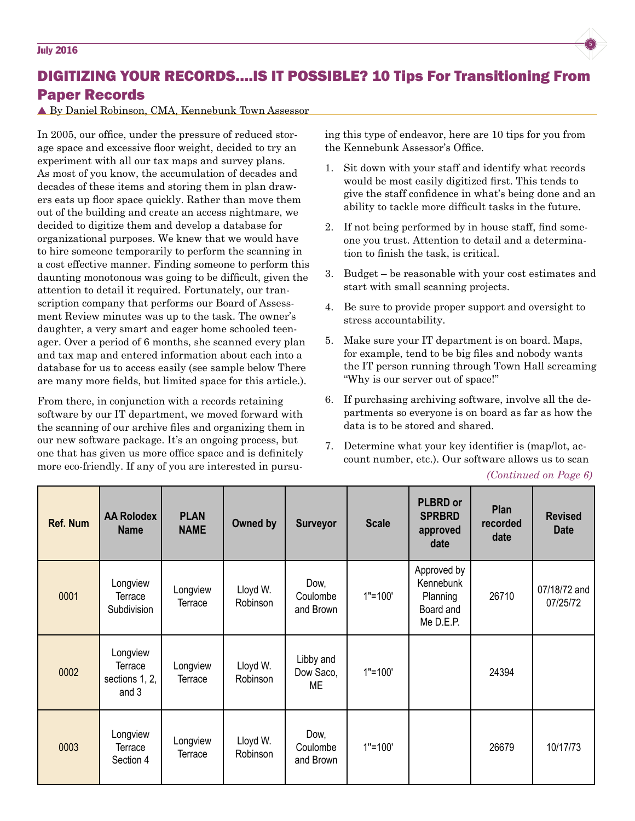## DIGITIZING YOUR RECORDS….IS IT POSSIBLE? 10 Tips For Transitioning From Paper Records

#### By Daniel Robinson, CMA, Kennebunk Town Assessor

In 2005, our office, under the pressure of reduced storage space and excessive floor weight, decided to try an experiment with all our tax maps and survey plans. As most of you know, the accumulation of decades and decades of these items and storing them in plan drawers eats up floor space quickly. Rather than move them out of the building and create an access nightmare, we decided to digitize them and develop a database for organizational purposes. We knew that we would have to hire someone temporarily to perform the scanning in a cost effective manner. Finding someone to perform this daunting monotonous was going to be difficult, given the attention to detail it required. Fortunately, our transcription company that performs our Board of Assessment Review minutes was up to the task. The owner's daughter, a very smart and eager home schooled teenager. Over a period of 6 months, she scanned every plan and tax map and entered information about each into a database for us to access easily (see sample below There are many more fields, but limited space for this article.).

From there, in conjunction with a records retaining software by our IT department, we moved forward with the scanning of our archive files and organizing them in our new software package. It's an ongoing process, but one that has given us more office space and is definitely more eco-friendly. If any of you are interested in pursuing this type of endeavor, here are 10 tips for you from the Kennebunk Assessor's Office.

- 1. Sit down with your staff and identify what records would be most easily digitized first. This tends to give the staff confidence in what's being done and an ability to tackle more difficult tasks in the future.
- 2. If not being performed by in house staff, find someone you trust. Attention to detail and a determination to finish the task, is critical.
- 3. Budget be reasonable with your cost estimates and start with small scanning projects.
- 4. Be sure to provide proper support and oversight to stress accountability.
- 5. Make sure your IT department is on board. Maps, for example, tend to be big files and nobody wants the IT person running through Town Hall screaming "Why is our server out of space!"
- 6. If purchasing archiving software, involve all the departments so everyone is on board as far as how the data is to be stored and shared.
- 7. Determine what your key identifier is (map/lot, account number, etc.). Our software allows us to scan

#### *(Continued on Page 6)*

| <b>Ref. Num</b> | <b>AA Rolodex</b><br><b>Name</b>               | <b>PLAN</b><br><b>NAME</b> | Owned by             | <b>Surveyor</b>               | <b>Scale</b> | <b>PLBRD or</b><br><b>SPRBRD</b><br>approved<br>date           | <b>Plan</b><br>recorded<br>date | <b>Revised</b><br><b>Date</b> |
|-----------------|------------------------------------------------|----------------------------|----------------------|-------------------------------|--------------|----------------------------------------------------------------|---------------------------------|-------------------------------|
| 0001            | Longview<br>Terrace<br>Subdivision             | Longview<br>Terrace        | Lloyd W.<br>Robinson | Dow,<br>Coulombe<br>and Brown | $1" = 100'$  | Approved by<br>Kennebunk<br>Planning<br>Board and<br>Me D.E.P. | 26710                           | 07/18/72 and<br>07/25/72      |
| 0002            | Longview<br>Terrace<br>sections 1, 2,<br>and 3 | Longview<br>Terrace        | Lloyd W.<br>Robinson | Libby and<br>Dow Saco,<br>ME  | $1" = 100'$  |                                                                | 24394                           |                               |
| 0003            | Longview<br>Terrace<br>Section 4               | Longview<br>Terrace        | Lloyd W.<br>Robinson | Dow,<br>Coulombe<br>and Brown | $1" = 100"$  |                                                                | 26679                           | 10/17/73                      |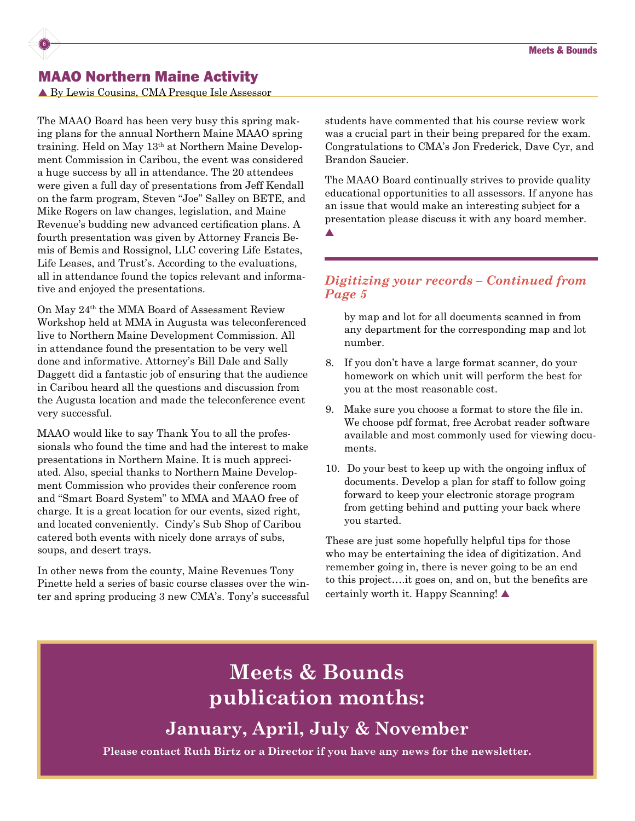## MAAO Northern Maine Activity

6

▲ By Lewis Cousins, CMA Presque Isle Assessor

The MAAO Board has been very busy this spring making plans for the annual Northern Maine MAAO spring training. Held on May 13th at Northern Maine Development Commission in Caribou, the event was considered a huge success by all in attendance. The 20 attendees were given a full day of presentations from Jeff Kendall on the farm program, Steven "Joe" Salley on BETE, and Mike Rogers on law changes, legislation, and Maine Revenue's budding new advanced certification plans. A fourth presentation was given by Attorney Francis Bemis of Bemis and Rossignol, LLC covering Life Estates, Life Leases, and Trust's. According to the evaluations, all in attendance found the topics relevant and informative and enjoyed the presentations.

On May 24th the MMA Board of Assessment Review Workshop held at MMA in Augusta was teleconferenced live to Northern Maine Development Commission. All in attendance found the presentation to be very well done and informative. Attorney's Bill Dale and Sally Daggett did a fantastic job of ensuring that the audience in Caribou heard all the questions and discussion from the Augusta location and made the teleconference event very successful.

MAAO would like to say Thank You to all the professionals who found the time and had the interest to make presentations in Northern Maine. It is much appreciated. Also, special thanks to Northern Maine Development Commission who provides their conference room and "Smart Board System" to MMA and MAAO free of charge. It is a great location for our events, sized right, and located conveniently. Cindy's Sub Shop of Caribou catered both events with nicely done arrays of subs, soups, and desert trays.

In other news from the county, Maine Revenues Tony Pinette held a series of basic course classes over the winter and spring producing 3 new CMA's. Tony's successful students have commented that his course review work was a crucial part in their being prepared for the exam. Congratulations to CMA's Jon Frederick, Dave Cyr, and Brandon Saucier.

The MAAO Board continually strives to provide quality educational opportunities to all assessors. If anyone has an issue that would make an interesting subject for a presentation please discuss it with any board member.

 $\blacktriangle$ 

### *Digitizing your records – Continued from Page 5*

by map and lot for all documents scanned in from any department for the corresponding map and lot number.

- 8. If you don't have a large format scanner, do your homework on which unit will perform the best for you at the most reasonable cost.
- 9. Make sure you choose a format to store the file in. We choose pdf format, free Acrobat reader software available and most commonly used for viewing documents.
- 10. Do your best to keep up with the ongoing influx of documents. Develop a plan for staff to follow going forward to keep your electronic storage program from getting behind and putting your back where you started.

These are just some hopefully helpful tips for those who may be entertaining the idea of digitization. And remember going in, there is never going to be an end to this project….it goes on, and on, but the benefits are certainly worth it. Happy Scanning!

**Meets & Bounds publication months:**

**January, April, July & November**

**Please contact Ruth Birtz or a Director if you have any news for the newsletter.**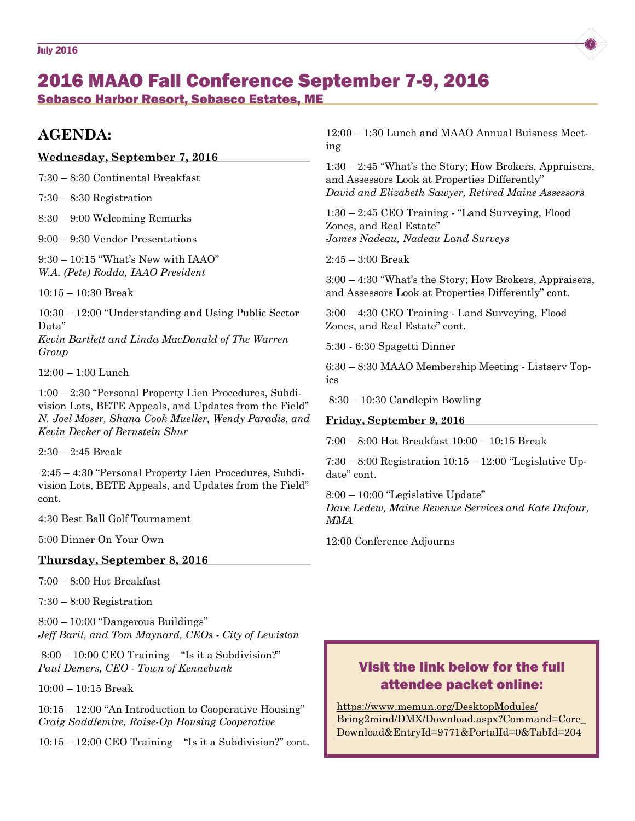

## 2016 MAAO Fall Conference September 7-9, 2016 Sebasco Harbor Resort, Sebasco Estates, ME

## **AGENDA:**

#### **Wednesday, September 7, 2016**

7:30 – 8:30 Continental Breakfast

7:30 – 8:30 Registration

8:30 – 9:00 Welcoming Remarks

9:00 – 9:30 Vendor Presentations

9:30 – 10:15 "What's New with IAAO" *W.A. (Pete) Rodda, IAAO President*

10:15 – 10:30 Break

10:30 – 12:00 "Understanding and Using Public Sector Data"

*Kevin Bartlett and Linda MacDonald of The Warren Group*

12:00 – 1:00 Lunch

1:00 – 2:30 "Personal Property Lien Procedures, Subdivision Lots, BETE Appeals, and Updates from the Field" *N. Joel Moser, Shana Cook Mueller, Wendy Paradis, and Kevin Decker of Bernstein Shur*

2:30 – 2:45 Break

 2:45 – 4:30 "Personal Property Lien Procedures, Subdivision Lots, BETE Appeals, and Updates from the Field" cont.

4:30 Best Ball Golf Tournament

5:00 Dinner On Your Own

#### **Thursday, September 8, 2016**

7:00 – 8:00 Hot Breakfast

7:30 – 8:00 Registration

8:00 – 10:00 "Dangerous Buildings" *Jeff Baril, and Tom Maynard, CEOs - City of Lewiston*

 8:00 – 10:00 CEO Training – "Is it a Subdivision?" *Paul Demers, CEO - Town of Kennebunk*

10:00 – 10:15 Break

10:15 – 12:00 "An Introduction to Cooperative Housing" *Craig Saddlemire, Raise-Op Housing Cooperative*

10:15 – 12:00 CEO Training – "Is it a Subdivision?" cont.

12:00 – 1:30 Lunch and MAAO Annual Buisness Meeting

1:30 – 2:45 "What's the Story; How Brokers, Appraisers, and Assessors Look at Properties Differently" *David and Elizabeth Sawyer, Retired Maine Assessors*

1:30 – 2:45 CEO Training - "Land Surveying, Flood Zones, and Real Estate" *James Nadeau, Nadeau Land Surveys*

2:45 – 3:00 Break

3:00 – 4:30 "What's the Story; How Brokers, Appraisers, and Assessors Look at Properties Differently" cont.

3:00 – 4:30 CEO Training - Land Surveying, Flood Zones, and Real Estate" cont.

5:30 - 6:30 Spagetti Dinner

6:30 – 8:30 MAAO Membership Meeting - Listserv Topics

8:30 – 10:30 Candlepin Bowling

#### **Friday, September 9, 2016**

7:00 – 8:00 Hot Breakfast 10:00 – 10:15 Break

7:30 – 8:00 Registration 10:15 – 12:00 "Legislative Update" cont.

8:00 – 10:00 "Legislative Update" *Dave Ledew, Maine Revenue Services and Kate Dufour, MMA*

12:00 Conference Adjourns

## Visit the link below for the full attendee packet online:

[https://www.memun.org/DesktopModules/](https://www.memun.org/DesktopModules/Bring2mind/DMX/Download.aspx?Command=Core_Download&EntryId=9771&PortalId=0&TabId=204) [Bring2mind/DMX/Download.aspx?Command=Core\\_](https://www.memun.org/DesktopModules/Bring2mind/DMX/Download.aspx?Command=Core_Download&EntryId=9771&PortalId=0&TabId=204) [Download&EntryId=9771&PortalId=0&TabId=204](https://www.memun.org/DesktopModules/Bring2mind/DMX/Download.aspx?Command=Core_Download&EntryId=9771&PortalId=0&TabId=204)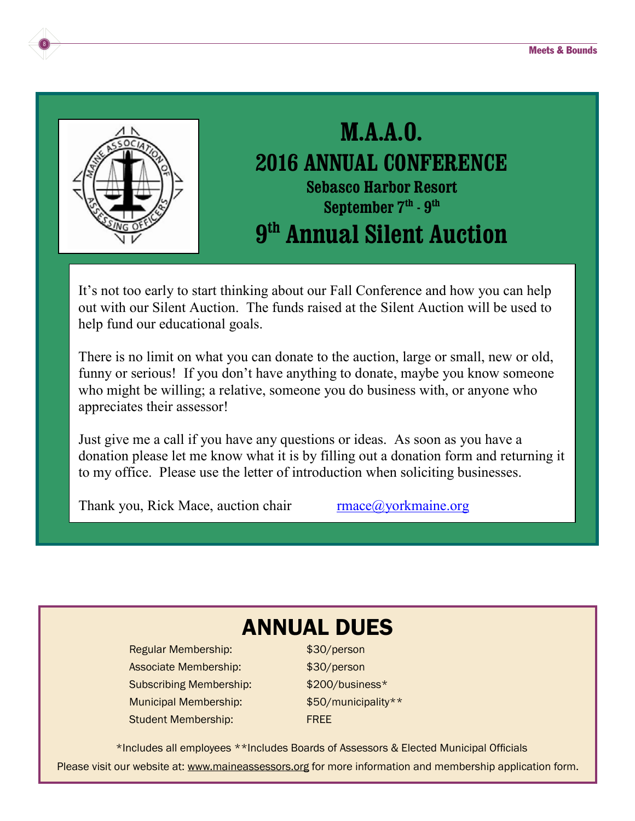

8

## **M.A.A.O. 2016 ANNUAL CONFERENCE Sebasco Harbor Resort September 7th - 9th 9th Annual Silent Auction**

It's not too early to start thinking about our Fall Conference and how you can help out with our Silent Auction. The funds raised at the Silent Auction will be used to help fund our educational goals.

There is no limit on what you can donate to the auction, large or small, new or old, funny or serious! If you don't have anything to donate, maybe you know someone who might be willing; a relative, someone you do business with, or anyone who appreciates their assessor!

Just give me a call if you have any questions or ideas. As soon as you have a donation please let me know what it is by filling out a donation form and returning it to my office. Please use the letter of introduction when soliciting businesses.

Thank you, Rick Mace, auction chair  $\frac{r \cdot m \cdot \cos(\theta)}{r \cdot m \cdot \cos(\theta)}$ 

## ANNUAL DUES

Regular Membership: \$30/person Associate Membership:  $$30/person$ Subscribing Membership:  $$200/business*$ Municipal Membership:  $$50/m$ unicipality\*\* Student Membership: FREE

\*Includes all employees \*\*Includes Boards of Assessors & Elected Municipal Officials Please visit our website at: <www.maineassessors.org> for more information and membership application form.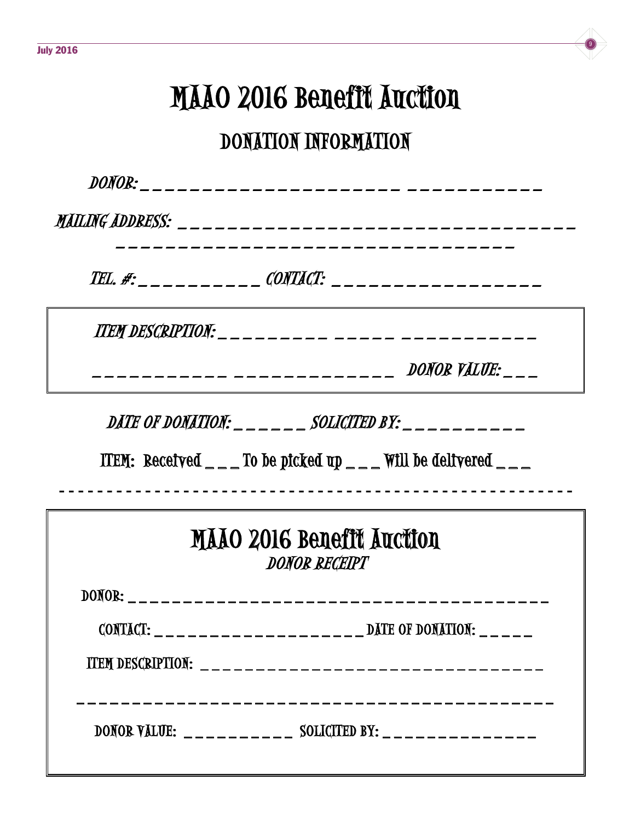# MAAO 2016 Benefit Auction

## DONATION INFORMATION

| MAILING ADDRESS: ___________________________                                                                                              |
|-------------------------------------------------------------------------------------------------------------------------------------------|
| TEL. #: _ _ _ _ _ _ _ _ _ CONTACT: _ _ _ _ _ _ _ _ _ _ _ _ _ _ _ _ _                                                                      |
|                                                                                                                                           |
| DONOR VALUE:<br>----- --------------                                                                                                      |
| DATE OF DONATION: $\_\,\_\,\_\,\_\,\_\,\_\,\_\,\_\,\_\,\_\,\_$ SOLICITED BY: $\_\,\_\,\_\,\_\,\_\,\_\,\_\,\_\,\_\,\_\,\_\,\_\,\_\,\_\,\_$ |
|                                                                                                                                           |
|                                                                                                                                           |
| ITEM: Received $\_\_$ To be picked up $\_\_$ Will be delivered $\_\_$                                                                     |
|                                                                                                                                           |
| MAAO 2016 Benefit Auction<br><b>DONOR RECEIPT</b>                                                                                         |
| DONOR: ___________________________________                                                                                                |
|                                                                                                                                           |
|                                                                                                                                           |
| <b>ITEM DESCRIPTION:</b> $\qquad$                                                                                                         |
| DONOR VALUE: __________ SOLICITED BY: ______________                                                                                      |